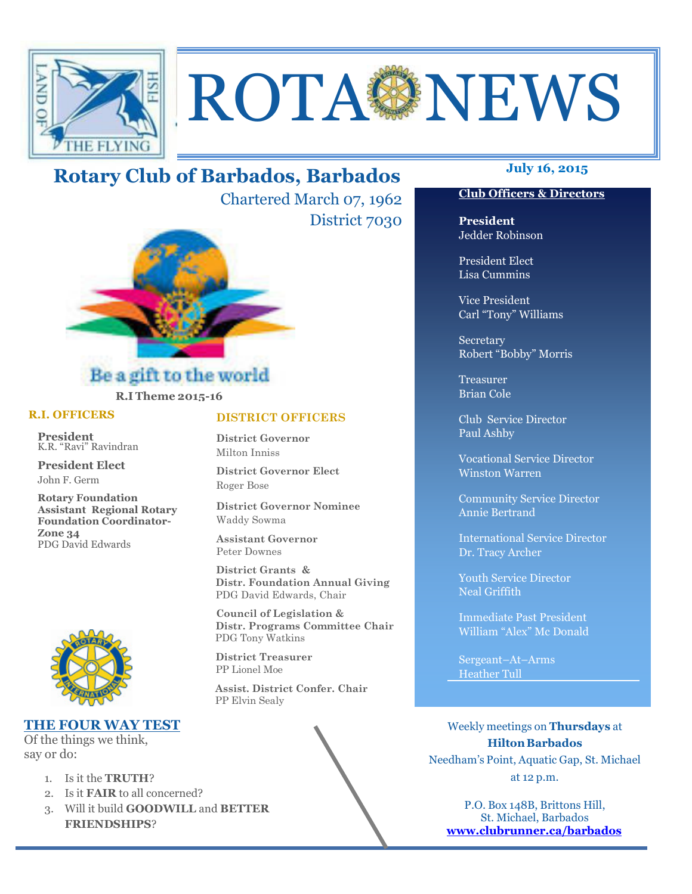

# ROTAGNEWS

# **July 16, 2015 Rotary Club of Barbados, Barbados**

Chartered March 07, 1962 District 7030



### Be a gift to the world **R.I Theme 2015-16**

#### **R.I. OFFICERS**

**President** K.R. "Ravi" Ravindran

**President Elect** John F. Germ

**Rotary Foundation Assistant Regional Rotary Foundation Coordinator-Zone 34**  PDG David Edwards



#### **THE FOUR WAY TEST**

Of the things we think, say or do:

Ī

- 1. Is it the **TRUTH**?
- 2. Is it **FAIR** to all concerned?
- 3. Will it build **GOODWILL** and **BETTER FRIENDSHIPS**?

#### **DISTRICT OFFICERS**

**District Governor** Milton Inniss

**District Governor Elect** Roger Bose

**District Governor Nominee**  Waddy Sowma

**Assistant Governor**  Peter Downes

 **District Grants & Distr. Foundation Annual Giving** PDG David Edwards, Chair

 **Council of Legislation & Distr. Programs Committee Chair** PDG Tony Watkins

 **District Treasurer**  PP Lionel Moe

 **Assist. District Confer. Chair**  PP Elvin Sealy

#### **Club Officers & Directors**

**President** Jedder Robinson

President Elect Lisa Cummins

Vice President Carl "Tony" Williams

Secretary Robert "Bobby" Morris

Treasurer Brian Cole

Club Service Director Paul Ashby

Vocational Service Director Winston Warren

Community Service Director Annie Bertrand

International Service Director Dr. Tracy Archer

Youth Service Director Neal Griffith

Immediate Past President William "Alex" Mc Donald

Sergeant–At–Arms Heather Tull

Weekly meetings on **Thursdays** at **Hilton Barbados** Needham's Point, Aquatic Gap, St. Michael at 12 p.m.

P.O. Box 148B, Brittons Hill, St. Michael, Barbados **www.clubrunner.ca/barbados**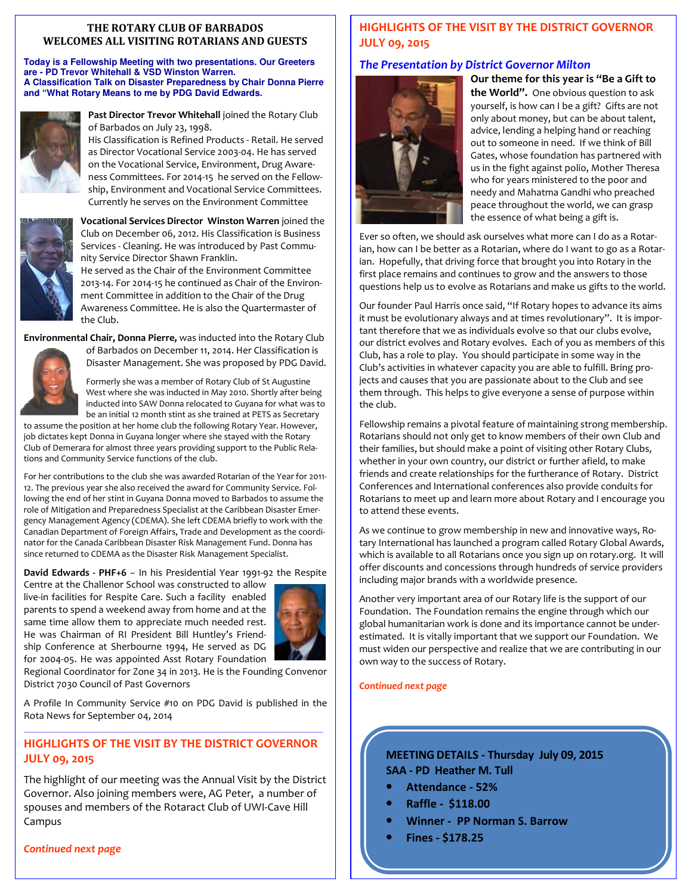#### **THE ROTARY CLUB OF BARBADOS WELCOMES ALL VISITING ROTARIANS AND GUESTS**

**Today is a Fellowship Meeting with two presentations. Our Greeters are - PD Trevor Whitehall & VSD Winston Warren. A Classification Talk on Disaster Preparedness by Chair Donna Pierre and "What Rotary Means to me by PDG David Edwards.** 



Past Director Trevor Whitehall joined the Rotary Club of Barbados on July 23, 1998.

His Classification is Refined Products - Retail. He served as Director Vocational Service 2003-04. He has served on the Vocational Service, Environment, Drug Awareness Committees. For 2014-15 he served on the Fellowship, Environment and Vocational Service Committees. Currently he serves on the Environment Committee



**Vocational Services Director Winston Warren** joined the Club on December 06, 2012. His Classification is Business Services - Cleaning. He was introduced by Past Community Service Director Shawn Franklin.

He served as the Chair of the Environment Committee 2013-14. For 2014-15 he continued as Chair of the Environment Committee in addition to the Chair of the Drug Awareness Committee. He is also the Quartermaster of the Club.

**Environmental Chair, Donna Pierre,** was inducted into the Rotary Club



Formerly she was a member of Rotary Club of St Augustine West where she was inducted in May 2010. Shortly after being inducted into SAW Donna relocated to Guyana for what was to be an initial 12 month stint as she trained at PETS as Secretary

of Barbados on December 11, 2014. Her Classification is Disaster Management. She was proposed by PDG David.

to assume the position at her home club the following Rotary Year. However, job dictates kept Donna in Guyana longer where she stayed with the Rotary Club of Demerara for almost three years providing support to the Public Relations and Community Service functions of the club.

For her contributions to the club she was awarded Rotarian of the Year for 2011- 12. The previous year she also received the award for Community Service. Following the end of her stint in Guyana Donna moved to Barbados to assume the role of Mitigation and Preparedness Specialist at the Caribbean Disaster Emergency Management Agency (CDEMA). She left CDEMA briefly to work with the Canadian Department of Foreign Affairs, Trade and Development as the coordinator for the Canada Caribbean Disaster Risk Management Fund. Donna has since returned to CDEMA as the Disaster Risk Management Specialist.

**David Edwards - PHF+6** – In his Presidential Year 1991-92 the Respite

Centre at the Challenor School was constructed to allow live-in facilities for Respite Care. Such a facility enabled parents to spend a weekend away from home and at the same time allow them to appreciate much needed rest. He was Chairman of RI President Bill Huntley's Friendship Conference at Sherbourne 1994, He served as DG for 2004-05. He was appointed Asst Rotary Foundation



Regional Coordinator for Zone 34 in 2013. He is the Founding Convenor District 7030 Council of Past Governors

A Profile In Community Service #10 on PDG David is published in the Rota News for September 04, 2014

#### *—————————————————————————————————————————————————————*  **HIGHLIGHTS OF THE VISIT BY THE DISTRICT GOVERNOR JULY 09, 2015**

The highlight of our meeting was the Annual Visit by the District Governor. Also joining members were, AG Peter, a number of spouses and members of the Rotaract Club of UWI-Cave Hill Campus

#### *Continued next page*

#### **HIGHLIGHTS OF THE VISIT BY THE DISTRICT GOVERNOR JULY 09, 2015**

#### *The Presentation by District Governor Milton*



**Our theme for this year is "Be a Gift to the World".** One obvious question to ask yourself, is how can I be a gift? Gifts are not only about money, but can be about talent, advice, lending a helping hand or reaching out to someone in need. If we think of Bill Gates, whose foundation has partnered with us in the fight against polio, Mother Theresa who for years ministered to the poor and needy and Mahatma Gandhi who preached peace throughout the world, we can grasp the essence of what being a gift is.

Ever so often, we should ask ourselves what more can I do as a Rotarian, how can I be better as a Rotarian, where do I want to go as a Rotarian. Hopefully, that driving force that brought you into Rotary in the first place remains and continues to grow and the answers to those questions help us to evolve as Rotarians and make us gifts to the world.

Our founder Paul Harris once said, "If Rotary hopes to advance its aims it must be evolutionary always and at times revolutionary". It is important therefore that we as individuals evolve so that our clubs evolve, our district evolves and Rotary evolves. Each of you as members of this Club, has a role to play. You should participate in some way in the Club's activities in whatever capacity you are able to fulfill. Bring projects and causes that you are passionate about to the Club and see them through. This helps to give everyone a sense of purpose within the club.

Fellowship remains a pivotal feature of maintaining strong membership. Rotarians should not only get to know members of their own Club and their families, but should make a point of visiting other Rotary Clubs, whether in your own country, our district or further afield, to make friends and create relationships for the furtherance of Rotary. District Conferences and International conferences also provide conduits for Rotarians to meet up and learn more about Rotary and I encourage you to attend these events.

As we continue to grow membership in new and innovative ways, Rotary International has launched a program called Rotary Global Awards, which is available to all Rotarians once you sign up on rotary.org. It will offer discounts and concessions through hundreds of service providers including major brands with a worldwide presence.

Another very important area of our Rotary life is the support of our Foundation. The Foundation remains the engine through which our global humanitarian work is done and its importance cannot be underestimated. It is vitally important that we support our Foundation. We must widen our perspective and realize that we are contributing in our own way to the success of Rotary.

*Continued next page* 

#### **MEETING DETAILS - Thursday July 09, 2015 SAA - PD Heather M. Tull**

- **Attendance 52%**
- **Raffle \$118.00**
- **Winner PP Norman S. Barrow**
- **Fines \$178.25**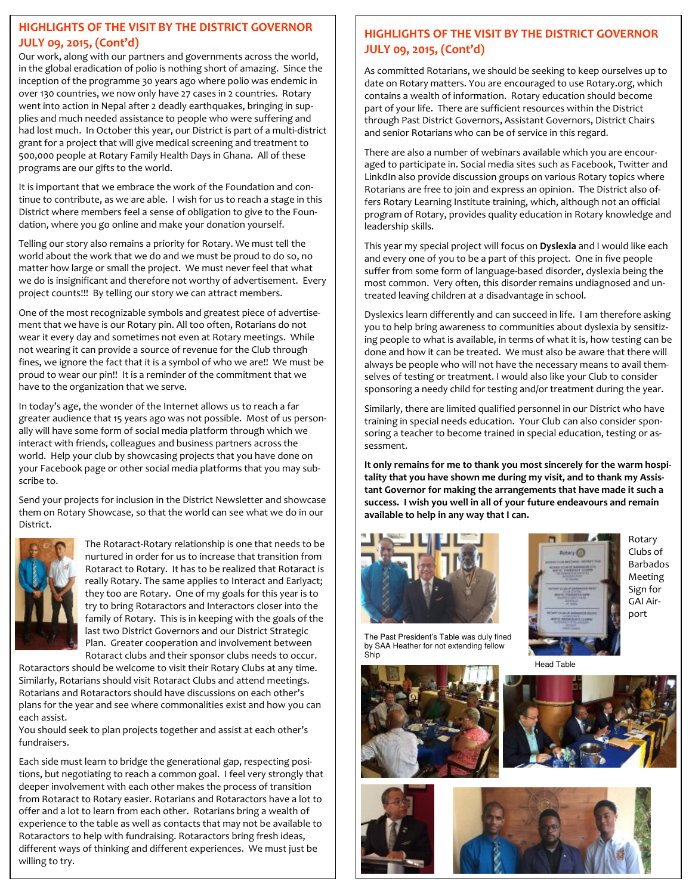#### **HIGHLIGHTS OF THE VISIT BY THE DISTRICT GOVERNOR JULY 09, 2015, (Cont'd)**

Our work, along with our partners and governments across the world, in the global eradication of polio is nothing short of amazing. Since the inception of the programme 30 years ago where polio was endemic in over 130 countries, we now only have 27 cases in 2 countries. Rotary went into action in Nepal after 2 deadly earthquakes, bringing in supplies and much needed assistance to people who were suffering and had lost much. In October this year, our District is part of a multi-district grant for a project that will give medical screening and treatment to 500,000 people at Rotary Family Health Days in Ghana. All of these programs are our gifts to the world.

It is important that we embrace the work of the Foundation and continue to contribute, as we are able. I wish for us to reach a stage in this District where members feel a sense of obligation to give to the Foundation, where you go online and make your donation yourself.

Telling our story also remains a priority for Rotary. We must tell the world about the work that we do and we must be proud to do so, no matter how large or small the project. We must never feel that what we do is insignificant and therefore not worthy of advertisement. Every project counts!!! By telling our story we can attract members.

One of the most recognizable symbols and greatest piece of advertisement that we have is our Rotary pin. All too often, Rotarians do not wear it every day and sometimes not even at Rotary meetings. While not wearing it can provide a source of revenue for the Club through fines, we ignore the fact that it is a symbol of who we are!! We must be proud to wear our pin!! It is a reminder of the commitment that we have to the organization that we serve.

In today's age, the wonder of the Internet allows us to reach a far greater audience that 15 years ago was not possible. Most of us personally will have some form of social media platform through which we interact with friends, colleagues and business partners across the world. Help your club by showcasing projects that you have done on your Facebook page or other social media platforms that you may subscribe to.

Send your projects for inclusion in the District Newsletter and showcase them on Rotary Showcase, so that the world can see what we do in our District.



The Rotaract-Rotary relationship is one that needs to be nurtured in order for us to increase that transition from Rotaract to Rotary. It has to be realized that Rotaract is really Rotary. The same applies to Interact and Earlyact; they too are Rotary. One of my goals for this year is to try to bring Rotaractors and Interactors closer into the family of Rotary. This is in keeping with the goals of the last two District Governors and our District Strategic Plan. Greater cooperation and involvement between Rotaract clubs and their sponsor clubs needs to occur.

Rotaractors should be welcome to visit their Rotary Clubs at any time. Similarly, Rotarians should visit Rotaract Clubs and attend meetings. Rotarians and Rotaractors should have discussions on each other's plans for the year and see where commonalities exist and how you can each assist.

You should seek to plan projects together and assist at each other's fundraisers.

 different ways of thinking and different experiences. We must just be Each side must learn to bridge the generational gap, respecting positions, but negotiating to reach a common goal. I feel very strongly that deeper involvement with each other makes the process of transition from Rotaract to Rotary easier. Rotarians and Rotaractors have a lot to offer and a lot to learn from each other. Rotarians bring a wealth of experience to the table as well as contacts that may not be available to Rotaractors to help with fundraising. Rotaractors bring fresh ideas, willing to try.

#### **HIGHLIGHTS OF THE VISIT BY THE DISTRICT GOVERNOR JULY 09, 2015, (Cont'd)**

As committed Rotarians, we should be seeking to keep ourselves up to date on Rotary matters. You are encouraged to use Rotary.org, which contains a wealth of information. Rotary education should become part of your life. There are sufficient resources within the District through Past District Governors, Assistant Governors, District Chairs and senior Rotarians who can be of service in this regard.

There are also a number of webinars available which you are encouraged to participate in. Social media sites such as Facebook, Twitter and LinkdIn also provide discussion groups on various Rotary topics where Rotarians are free to join and express an opinion. The District also offers Rotary Learning Institute training, which, although not an official program of Rotary, provides quality education in Rotary knowledge and leadership skills.

This year my special project will focus on **Dyslexia** and I would like each and every one of you to be a part of this project. One in five people suffer from some form of language-based disorder, dyslexia being the most common. Very often, this disorder remains undiagnosed and untreated leaving children at a disadvantage in school.

Dyslexics learn differently and can succeed in life. I am therefore asking you to help bring awareness to communities about dyslexia by sensitizing people to what is available, in terms of what it is, how testing can be done and how it can be treated. We must also be aware that there will always be people who will not have the necessary means to avail themselves of testing or treatment. I would also like your Club to consider sponsoring a needy child for testing and/or treatment during the year.

Similarly, there are limited qualified personnel in our District who have training in special needs education. Your Club can also consider sponsoring a teacher to become trained in special education, testing or assessment.

**It only remains for me to thank you most sincerely for the warm hospitality that you have shown me during my visit, and to thank my Assistant Governor for making the arrangements that have made it such a success. I wish you well in all of your future endeavours and remain available to help in any way that I can.** 



The Past President's Table was duly fined by SAA Heather for not extending fellow Ship





Rotary Clubs of Barbados Meeting Sign for GAI Airport

Head Table